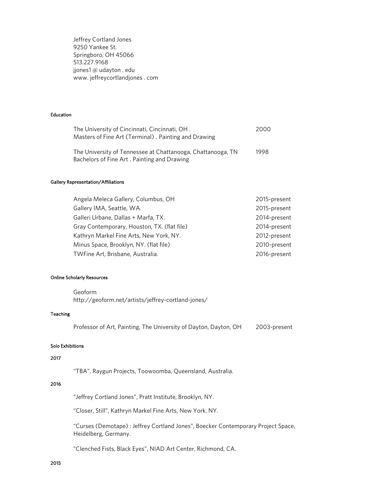Jeffrey Cortland Jones 9250 Yankee St. Springboro, OH 45066 513.227.9168 jjones1 @ udayton . edu www. jeffreycortlandjones . com

### Education

| The University of Cincinnati, Cincinnati, OH.               | 2000 |
|-------------------------------------------------------------|------|
| Masters of Fine Art (Terminal). Painting and Drawing        |      |
|                                                             |      |
| The University of Tennessee at Chattanooga, Chattanooga, TN | 1998 |
| Bachelors of Fine Art. Painting and Drawing                 |      |

#### Gallery Representation/Affiliations

| Angela Meleca Gallery, Columbus, OH         | 2015-present |
|---------------------------------------------|--------------|
| Gallery IMA, Seattle, WA.                   | 2015-present |
| Galleri Urbane, Dallas + Marfa, TX.         | 2014-present |
| Gray Contemporary, Houston, TX. (flat file) | 2014-present |
| Kathryn Markel Fine Arts, New York, NY.     | 2012-present |
| Minus Space, Brooklyn, NY. (flat file)      | 2010-present |
| TWFine Art, Brisbane, Australia.            | 2016-present |

#### Online Scholarly Resources

Geoform http://geoform.net/artists/jeffrey-cortland-jones/

### Teaching

Professor of Art, Painting, The University of Dayton, Dayton, OH 2003-present

### Solo Exhibitions

## 2017

"TBA", Raygun Projects, Toowoomba, Queensland, Australia.

# 2016

"Jeffrey Cortland Jones", Pratt Institute, Brooklyn, NY.

"Closer, Still", Kathryn Markel Fine Arts, New York. NY.

"Curses (Demotape) : Jeffrey Cortland Jones", Boecker Contemporary Project Space, Heidelberg, Germany.

"Clenched Fists, Black Eyes", NIAD Art Center, Richmond, CA.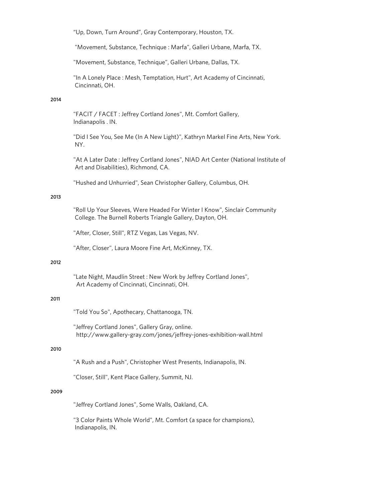"Up, Down, Turn Around", Gray Contemporary, Houston, TX.

"Movement, Substance, Technique : Marfa", Galleri Urbane, Marfa, TX.

"Movement, Substance, Technique", Galleri Urbane, Dallas, TX.

"In A Lonely Place : Mesh, Temptation, Hurt", Art Academy of Cincinnati, Cincinnati, OH.

## 2014

"FACIT / FACET : Jeffrey Cortland Jones", Mt. Comfort Gallery, Indianapolis . IN.

"Did I See You, See Me (In A New Light)", Kathryn Markel Fine Arts, New York. NY.

"At A Later Date : Jeffrey Cortland Jones", NIAD Art Center (National Institute of Art and Disabilities), Richmond, CA.

"Hushed and Unhurried", Sean Christopher Gallery, Columbus, OH.

## 2013

"Roll Up Your Sleeves, Were Headed For Winter I Know", Sinclair Community College. The Burnell Roberts Triangle Gallery, Dayton, OH.

"After, Closer, Still", RTZ Vegas, Las Vegas, NV.

"After, Closer", Laura Moore Fine Art, McKinney, TX.

## 2012

"Late Night, Maudlin Street : New Work by Jeffrey Cortland Jones", Art Academy of Cincinnati, Cincinnati, OH.

### 2011

"Told You So", Apothecary, Chattanooga, TN.

"Jeffrey Cortland Jones", Gallery Gray, online. http://www.gallery-gray.com/jones/jeffrey-jones-exhibition-wall.html

# 2010

"A Rush and a Push", Christopher West Presents, Indianapolis, IN.

"Closer, Still", Kent Place Gallery, Summit, NJ.

### 2009

"Jeffrey Cortland Jones", Some Walls, Oakland, CA.

"3 Color Paints Whole World", Mt. Comfort (a space for champions), Indianapolis, IN.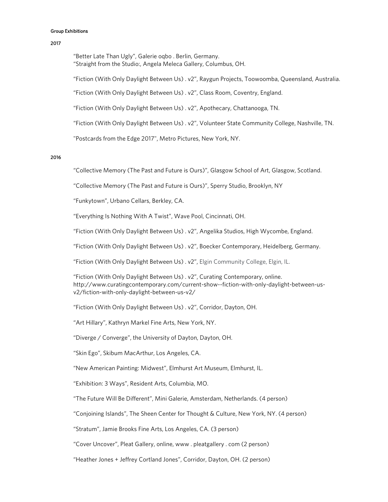#### Group Exhibitions

#### 2017

 "Better Late Than Ugly", Galerie oqbo . Berlin, Germany. "Straight from the Studio:, Angela Meleca Gallery, Columbus, OH.

"Fiction (With Only Daylight Between Us) . v2", Raygun Projects, Toowoomba, Queensland, Australia.

"Fiction (With Only Daylight Between Us) . v2", Class Room, Coventry, England.

"Fiction (With Only Daylight Between Us) . v2", Apothecary, Chattanooga, TN.

"Fiction (With Only Daylight Between Us) . v2", Volunteer State Community College, Nashville, TN.

"Postcards from the Edge 2017", Metro Pictures, New York, NY.

### 2016

"Collective Memory (The Past and Future is Ours)", Glasgow School of Art, Glasgow, Scotland.

"Collective Memory (The Past and Future is Ours)", Sperry Studio, Brooklyn, NY

"Funkytown", Urbano Cellars, Berkley, CA.

"Everything Is Nothing With A Twist", Wave Pool, Cincinnati, OH.

"Fiction (With Only Daylight Between Us) . v2", Angelika Studios, High Wycombe, England.

"Fiction (With Only Daylight Between Us) . v2", Boecker Contemporary, Heidelberg, Germany.

"Fiction (With Only Daylight Between Us) . v2", Elgin Community College, Elgin, IL.

"Fiction (With Only Daylight Between Us) . v2", Curating Contemporary, online. http://www.curatingcontemporary.com/current-show--fiction-with-only-daylight-between-usv2/fiction-with-only-daylight-between-us-v2/

"Fiction (With Only Daylight Between Us) . v2", Corridor, Dayton, OH.

"Art Hillary", Kathryn Markel Fine Arts, New York, NY.

"Diverge / Converge", the University of Dayton, Dayton, OH.

"Skin Ego", Skibum MacArthur, Los Angeles, CA.

"New American Painting: Midwest", Elmhurst Art Museum, Elmhurst, IL.

"Exhibition: 3 Ways", Resident Arts, Columbia, MO.

"The Future Will Be Different", Mini Galerie, Amsterdam, Netherlands. (4 person)

"Conjoining Islands", The Sheen Center for Thought & Culture, New York, NY. (4 person)

"Stratum", Jamie Brooks Fine Arts, Los Angeles, CA. (3 person)

"Cover Uncover", Pleat Gallery, online, www . pleatgallery . com (2 person)

"Heather Jones + Jeffrey Cortland Jones", Corridor, Dayton, OH. (2 person)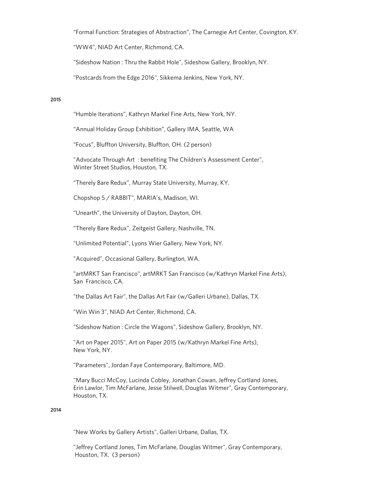"Formal Function: Strategies of Abstraction", The Carnegie Art Center, Covington, KY.

"WW4", NIAD Art Center, Richmond, CA.

"Sideshow Nation : Thru the Rabbit Hole", Sideshow Gallery, Brooklyn, NY.

"Postcards from the Edge 2016", Sikkema Jenkins, New York, NY.

### 2015

"Humble Iterations", Kathryn Markel Fine Arts, New York, NY.

"Annual Holiday Group Exhibition", Gallery IMA, Seattle, WA

"Focus", Bluffton University, Bluffton, OH. (2 person)

"Advocate Through Art : benefiting The Children's Assessment Center", Winter Street Studios, Houston, TX.

"Therely Bare Redux", Murray State University, Murray, KY.

Chopshop 5 / RABBIT", MARIA's, Madison, WI.

"Unearth", the University of Dayton, Dayton, OH.

"Therely Bare Redux", Zeitgeist Gallery, Nashville, TN.

"Unlimited Potential", Lyons Wier Gallery, New York, NY.

"Acquired", Occasional Gallery, Burlington, WA.

"artMRKT San Francisco", artMRKT San Francisco (w/Kathryn Markel Fine Arts), San Francisco, CA.

"the Dallas Art Fair", the Dallas Art Fair (w/Galleri Urbane), Dallas, TX.

"Win Win 3", NIAD Art Center, Richmond, CA.

"Sideshow Nation : Circle the Wagons", Sideshow Gallery, Brooklyn, NY.

"Art on Paper 2015", Art on Paper 2015 (w/Kathryn Markel Fine Arts), New York, NY.

"Parameters", Jordan Faye Contemporary, Baltimore, MD.

"Mary Bucci McCoy, Lucinda Cobley, Jonathan Cowan, Jeffrey Cortland Jones, Erin Lawlor, Tim McFarlane, Jesse Stilwell, Douglas Witmer", Gray Contemporary, Houston, TX.

#### 2014

"New Works by Gallery Artists", Galleri Urbane, Dallas, TX.

"Jeffrey Cortland Jones, Tim McFarlane, Douglas Witmer", Gray Contemporary, Houston, TX. (3 person)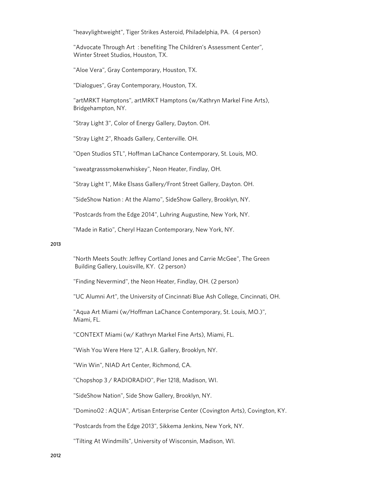"heavylightweight", Tiger Strikes Asteroid, Philadelphia, PA. (4 person)

"Advocate Through Art: benefiting The Children's Assessment Center", Winter Street Studios, Houston, TX.

"Aloe Vera", Gray Contemporary, Houston, TX.

"Dialogues", Gray Contemporary, Houston, TX.

"artMRKT Hamptons", artMRKT Hamptons (w/Kathryn Markel Fine Arts), Bridgehampton, NY.

"Stray Light 3", Color of Energy Gallery, Dayton. OH.

"Stray Light 2", Rhoads Gallery, Centerville. OH.

"Open Studios STL", Hoffman LaChance Contemporary, St. Louis, MO.

"sweatgrasssmokenwhiskey", Neon Heater, Findlay, OH.

"Stray Light 1", Mike Elsass Gallery/Front Street Gallery, Dayton. OH.

"SideShow Nation : At the Alamo", SideShow Gallery, Brooklyn, NY.

"Postcards from the Edge 2014", Luhring Augustine, New York, NY.

"Made in Ratio", Cheryl Hazan Contemporary, New York, NY.

### 2013

"North Meets South: Jeffrey Cortland Jones and Carrie McGee", The Green Building Gallery, Louisville, KY. (2 person)

"Finding Nevermind", the Neon Heater, Findlay, OH. (2 person)

"UC Alumni Art", the University of Cincinnati Blue Ash College, Cincinnati, OH.

"Aqua Art Miami (w/Hoffman LaChance Contemporary, St. Louis, MO.)", Miami, FL.

"CONTEXT Miami (w/ Kathryn Markel Fine Arts), Miami, FL.

"Wish You Were Here 12", A.I.R. Gallery, Brooklyn, NY.

"Win Win", NIAD Art Center, Richmond, CA.

"Chopshop 3 / RADIORADIO", Pier 1218, Madison, WI.

"SideShow Nation", Side Show Gallery, Brooklyn, NY.

"Domino02 : AQUA", Artisan Enterprise Center (Covington Arts), Covington, KY.

"Postcards from the Edge 2013", Sikkema Jenkins, New York, NY.

"Tilting At Windmills", University of Wisconsin, Madison, WI.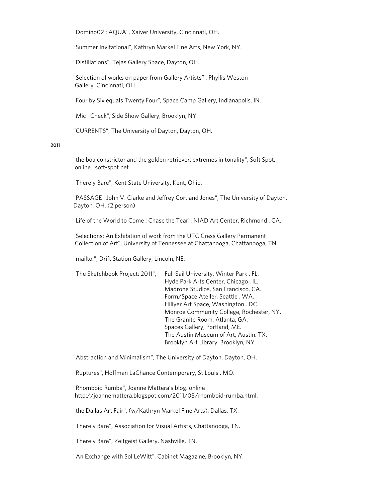"Domino02 : AQUA", Xaiver University, Cincinnati, OH.

"Summer Invitational", Kathryn Markel Fine Arts, New York, NY.

"Distillations", Tejas Gallery Space, Dayton, OH.

"Selection of works on paper from Gallery Artists" , Phyllis Weston Gallery, Cincinnati, OH.

"Four by Six equals Twenty Four", Space Camp Gallery, Indianapolis, IN.

"Mic : Check", Side Show Gallery, Brooklyn, NY.

"CURRENTS", The University of Dayton, Dayton, OH.

#### 2011

"the boa constrictor and the golden retriever: extremes in tonality", Soft Spot, online. soft-spot.net

"Therely Bare", Kent State University, Kent, Ohio.

"PASSAGE : John V. Clarke and Jeffrey Cortland Jones", The University of Dayton, Dayton, OH. (2 person)

"Life of the World to Come : Chase the Tear", NIAD Art Center, Richmond . CA.

"Selections: An Exhibition of work from the UTC Cress Gallery Permanent Collection of Art", University of Tennessee at Chattanooga, Chattanooga, TN.

"mailto:", Drift Station Gallery, Lincoln, NE.

| "The Sketchbook Project: 2011", | Full Sail University, Winter Park. FL.   |
|---------------------------------|------------------------------------------|
|                                 | Hyde Park Arts Center, Chicago. IL.      |
|                                 | Madrone Studios, San Francisco, CA.      |
|                                 | Form/Space Ateller, Seattle . WA.        |
|                                 | Hillyer Art Space, Washington. DC.       |
|                                 | Monroe Community College, Rochester, NY. |
|                                 | The Granite Room, Atlanta, GA.           |
|                                 | Spaces Gallery, Portland, ME.            |
|                                 | The Austin Museum of Art, Austin. TX.    |
|                                 | Brooklyn Art Library, Brooklyn, NY.      |
|                                 |                                          |

"Abstraction and Minimalism", The University of Dayton, Dayton, OH.

"Ruptures", Hoffman LaChance Contemporary, St Louis . MO.

"Rhomboid Rumba", Joanne Mattera's blog. online http://joannemattera.blogspot.com/2011/05/rhomboid-rumba.html.

"the Dallas Art Fair", (w/Kathryn Markel Fine Arts), Dallas, TX.

"Therely Bare", Association for Visual Artists, Chattanooga, TN.

"Therely Bare", Zeitgeist Gallery, Nashville, TN.

"An Exchange with Sol LeWitt", Cabinet Magazine, Brooklyn, NY.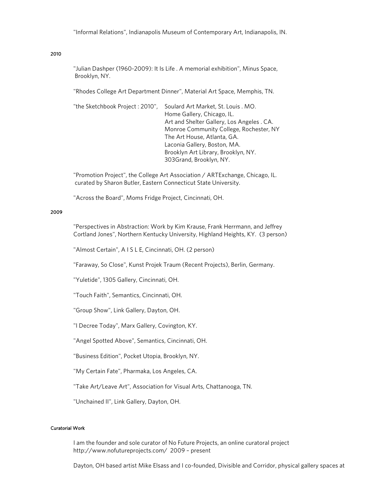## 2010

"Julian Dashper (1960-2009): It Is Life . A memorial exhibition", Minus Space, Brooklyn, NY.

"Rhodes College Art Department Dinner", Material Art Space, Memphis, TN.

"the Sketchbook Project : 2010", Soulard Art Market, St. Louis . MO. Home Gallery, Chicago, IL. Art and Shelter Gallery, Los Angeles . CA. Monroe Community College, Rochester, NY The Art House, Atlanta, GA. Laconia Gallery, Boston, MA. Brooklyn Art Library, Brooklyn, NY. 303Grand, Brooklyn, NY.

"Promotion Project", the College Art Association / ARTExchange, Chicago, IL. curated by Sharon Butler, Eastern Connecticut State University.

"Across the Board", Moms Fridge Project, Cincinnati, OH.

#### 2009

"Perspectives in Abstraction: Work by Kim Krause, Frank Herrmann, and Jeffrey Cortland Jones", Northern Kentucky University, Highland Heights, KY. (3 person)

"Almost Certain", A I S L E, Cincinnati, OH. (2 person)

"Faraway, So Close", Kunst Projek Traum (Recent Projects), Berlin, Germany.

"Yuletide", 1305 Gallery, Cincinnati, OH.

"Touch Faith", Semantics, Cincinnati, OH.

"Group Show", Link Gallery, Dayton, OH.

"I Decree Today", Marx Gallery, Covington, KY.

"Angel Spotted Above", Semantics, Cincinnati, OH.

"Business Edition", Pocket Utopia, Brooklyn, NY.

"My Certain Fate", Pharmaka, Los Angeles, CA.

"Take Art/Leave Art", Association for Visual Arts, Chattanooga, TN.

"Unchained II", Link Gallery, Dayton, OH.

#### Curatorial Work

 I am the founder and sole curator of No Future Projects, an online curatoral project http://www.nofutureprojects.com/ 2009 – present

Dayton, OH based artist Mike Elsass and I co-founded, Divisible and Corridor, physical gallery spaces at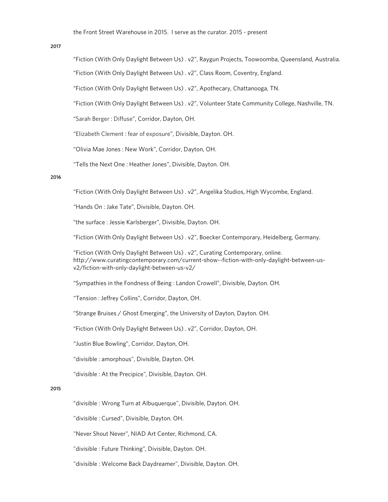#### 2017

"Fiction (With Only Daylight Between Us) . v2", Raygun Projects, Toowoomba, Queensland, Australia. "Fiction (With Only Daylight Between Us) . v2", Class Room, Coventry, England.

"Fiction (With Only Daylight Between Us) . v2", Apothecary, Chattanooga, TN.

"Fiction (With Only Daylight Between Us) . v2", Volunteer State Community College, Nashville, TN.

"Sarah Berger : Diffuse", Corridor, Dayton, OH.

"Elizabeth Clement : fear of exposure", Divisible, Dayton. OH.

"Olivia Mae Jones : New Work", Corridor, Dayton, OH.

"Tells the Next One : Heather Jones", Divisible, Dayton. OH.

## 2016

"Fiction (With Only Daylight Between Us) . v2", Angelika Studios, High Wycombe, England.

"Hands On : Jake Tate", Divisible, Dayton. OH.

"the surface : Jessie Karlsberger", Divisible, Dayton. OH.

"Fiction (With Only Daylight Between Us) . v2", Boecker Contemporary, Heidelberg, Germany.

"Fiction (With Only Daylight Between Us) . v2", Curating Contemporary, online. http://www.curatingcontemporary.com/current-show--fiction-with-only-daylight-between-usv2/fiction-with-only-daylight-between-us-v2/

"Sympathies in the Fondness of Being : Landon Crowell", Divisible, Dayton. OH.

"Tension : Jeffrey Collins", Corridor, Dayton, OH.

"Strange Bruises / Ghost Emerging", the University of Dayton, Dayton. OH.

"Fiction (With Only Daylight Between Us) . v2", Corridor, Dayton, OH.

"Justin Blue Bowling", Corridor, Dayton, OH.

"divisible : amorphous", Divisible, Dayton. OH.

"divisible : At the Precipice", Divisible, Dayton. OH.

### 2015

"divisible : Wrong Turn at Albuquerque", Divisible, Dayton. OH.

"divisible : Cursed", Divisible, Dayton. OH.

"Never Shout Never", NIAD Art Center, Richmond, CA.

"divisible : Future Thinking", Divisible, Dayton. OH.

"divisible : Welcome Back Daydreamer", Divisible, Dayton. OH.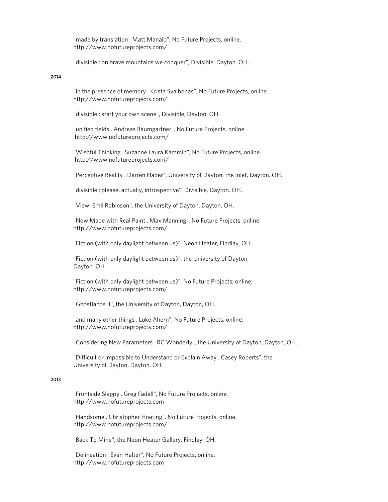"made by translation . Matt Manalo", No Future Projects, online. http://www.nofutureprojects.com/

"divisible : on brave mountains we conquer", Divisible, Dayton. OH.

# 2014

"in the presence of memory . Krista Svalbonas", No Future Projects, online. http://www.nofutureprojects.com/

"divisible : start your own scene", Divisible, Dayton. OH.

"unified fields . Andreas Baumgartner", No Future Projects, online. http://www.nofutureprojects.com/

"Wishful Thinking . Suzanne Laura Kammin", No Future Projects, online. http://www.nofutureprojects.com/

"Perceptive Reality . Darren Haper", University of Dayton, the Inlet, Dayton. OH.

"divisible : please, actually, introspective", Divisible, Dayton. OH.

"View: Emil Robinson", the University of Dayton, Dayton, OH.

"Now Made with Real Paint . Max Manning", No Future Projects, online. http://www.nofutureprojects.com/

"Fiction (with only daylight between us)", Neon Heater, Findlay, OH.

"Fiction (with only daylight between us)", the University of Dayton, Dayton, OH.

"Fiction (with only daylight between us)", No Future Projects, online. http://www.nofutureprojects.com/

"Ghostlands II", the University of Dayton, Dayton, OH.

"and many other things . Luke Ahern", No Future Projects, online. http://www.nofutureprojects.com/

"Considering New Parameters . RC Wonderly", the University of Dayton, Dayton, OH.

"Difficult or Impossible to Understand or Explain Away . Casey Roberts", the University of Dayton, Dayton, OH.

#### 2013

"Frontside Slappy . Greg Fadell", No Future Projects, online. http://www.nofutureprojects.com

"Handsome . Christopher Hoeting", No Future Projects, online. http://www.nofutureprojects.com/

"Back To Mine", the Neon Heater Gallery, Findlay, OH.

"Delineation . Evan Halter", No Future Projects, online. http://www.nofutureprojects.com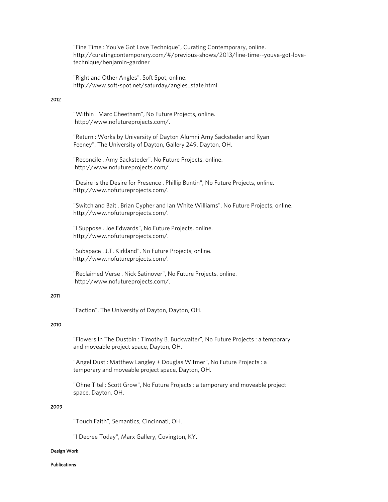"Fine Time : You've Got Love Technique", Curating Contemporary, online. http://curatingcontemporary.com/#/previous-shows/2013/fine-time--youve-got-lovetechnique/benjamin-gardner

"Right and Other Angles", Soft Spot, online. http://www.soft-spot.net/saturday/angles\_state.html

## 2012

"Within . Marc Cheetham", No Future Projects, online. http://www.nofutureprojects.com/.

"Return : Works by University of Dayton Alumni Amy Sacksteder and Ryan Feeney", The University of Dayton, Gallery 249, Dayton, OH.

"Reconcile . Amy Sacksteder", No Future Projects, online. http://www.nofutureprojects.com/.

"Desire is the Desire for Presence . Phillip Buntin", No Future Projects, online. http://www.nofutureprojects.com/.

"Switch and Bait . Brian Cypher and Ian White Williams", No Future Projects, online. http://www.nofutureprojects.com/.

"I Suppose . Joe Edwards", No Future Projects, online. http://www.nofutureprojects.com/.

"Subspace . J.T. Kirkland", No Future Projects, online. http://www.nofutureprojects.com/.

"Reclaimed Verse . Nick Satinover", No Future Projects, online. http://www.nofutureprojects.com/.

### 2011

"Faction", The University of Dayton, Dayton, OH.

### 2010

"Flowers In The Dustbin : Timothy B. Buckwalter", No Future Projects : a temporary and moveable project space, Dayton, OH.

"Angel Dust : Matthew Langley + Douglas Witmer", No Future Projects : a temporary and moveable project space, Dayton, OH.

"Ohne Titel : Scott Grow", No Future Projects : a temporary and moveable project space, Dayton, OH.

### 2009

"Touch Faith", Semantics, Cincinnati, OH.

"I Decree Today", Marx Gallery, Covington, KY.

### Design Work

Publications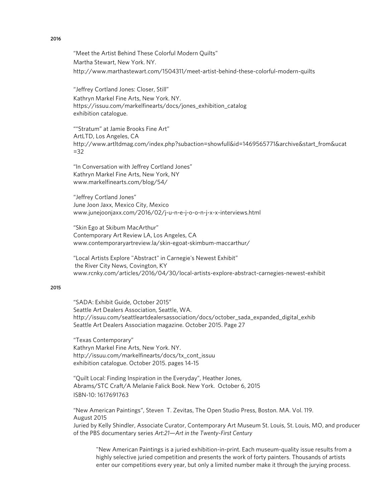"Meet the Artist Behind These Colorful Modern Quilts" Martha Stewart, New York. NY. http://www.marthastewart.com/1504311/meet-artist-behind-these-colorful-modern-quilts

"Jeffrey Cortland Jones: Closer, Still" Kathryn Markel Fine Arts, New York. NY. https://issuu.com/markelfinearts/docs/jones\_exhibition\_catalog exhibition catalogue.

""Stratum" at Jamie Brooks Fine Art" ArtLTD, Los Angeles, CA http://www.artltdmag.com/index.php?subaction=showfull&id=1469565771&archive&start\_from&ucat  $=32$ 

"In Conversation with Jeffrey Cortland Jones" Kathryn Markel Fine Arts, New York, NY www.markelfinearts.com/blog/54/

"Jeffrey Cortland Jones" June Joon Jaxx, Mexico City, Mexico www.junejoonjaxx.com/2016/02/j-u-n-e-j-o-o-n-j-x-x-interviews.html

"Skin Ego at Skibum MacArthur" Contemporary Art Review LA, Los Angeles, CA www.contemporaryartreview.la/skin-egoat-skimbum-maccarthur/

"Local Artists Explore "Abstract" in Carnegie's Newest Exhibit" the River City News, Covington, KY www.rcnky.com/articles/2016/04/30/local-artists-explore-abstract-carnegies-newest-exhibit

## 2015

"SADA: Exhibit Guide, October 2015" Seattle Art Dealers Association, Seattle, WA. http://issuu.com/seattleartdealersassociation/docs/october\_sada\_expanded\_digital\_exhib Seattle Art Dealers Association magazine. October 2015. Page 27

"Texas Contemporary" Kathryn Markel Fine Arts, New York. NY. http://issuu.com/markelfinearts/docs/tx\_cont\_issuu exhibition catalogue. October 2015. pages 14-15

"Quilt Local: Finding Inspiration in the Everyday", Heather Jones, Abrams/STC Craft/A Melanie Falick Book. New York. October 6, 2015 ISBN-10: 1617691763

"New American Paintings", Steven T. Zevitas, The Open Studio Press, Boston. MA. Vol. 119. August 2015

Juried by Kelly Shindler, Associate Curator, Contemporary Art Museum St. Louis, St. Louis, MO, and producer of the PBS documentary series *Art:21—Art in the Twenty-First Century*

"New American Paintings is a juried exhibition-in-print. Each museum-quality issue results from a highly selective juried competition and presents the work of forty painters. Thousands of artists enter our competitions every year, but only a limited number make it through the jurying process.

### 2016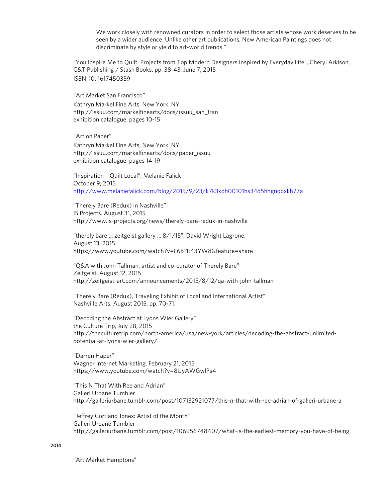We work closely with renowned curators in order to select those artists whose work deserves to be seen by a wider audience. Unlike other art publications, New American Paintings does not discriminate by style or yield to art-world trends."

"You Inspire Me to Quilt: Projects from Top Modern Designers Inspired by Everyday Life", Cheryl Arkison, C&T Publishing / Stash Books. pp. 38-43. June 7, 2015 ISBN-10: 1617450359

"Art Market San Francisco"

Kathryn Markel Fine Arts, New York. NY. http://issuu.com/markelfinearts/docs/issuu\_san\_fran exhibition catalogue. pages 10-15

"Art on Paper"

Kathryn Markel Fine Arts, New York. NY. http://issuu.com/markelfinearts/docs/paper\_issuu exhibition catalogue. pages 14-19

"Inspiration – Quilt Local", Melanie Falick October 9, 2015 http://www.melaniefalick.com/blog/2015/9/23/k7k3koh00101hs34d5hhgnqqxkh77a

"Therely Bare (Redux) in Nashville" IS Projects. August 31, 2015 http://www.is-projects.org/news/therely-bare-redux-in-nashville

"therely bare ::: zeitgeist gallery ::: 8/1/15", David Wright Lagrone. August 13, 2015 https://www.youtube.com/watch?v=L6B11t43YW8&feature=share

"Q&A with John Tallman, artist and co-curator of Therely Bare" Zeitgeist, August 12, 2015 http://zeitgeist-art.com/announcements/2015/8/12/qa-with-john-tallman

"Therely Bare (Redux), Traveling Exhibit of Local and International Artist" Nashville Arts, August 2015, pp. 70-71.

"Decoding the Abstract at Lyons Wier Gallery" the Culture Trip, July 28, 2015 http://theculturetrip.com/north-america/usa/new-york/articles/decoding-the-abstract-unlimitedpotential-at-lyons-wier-gallery/

"Darren Haper" Wagner Internet Marketing, February 21, 2015 https://www.youtube.com/watch?v=8UyAWGwlPs4

"This N That With Ree and Adrian" Galleri Urbane Tumbler http://galleriurbane.tumblr.com/post/107132921077/this-n-that-with-ree-adrian-of-galleri-urbane-a

"Jeffrey Cortland Jones: Artist of the Month" Galleri Urbane Tumbler http://galleriurbane.tumblr.com/post/106956748407/what-is-the-earliest-memory-you-have-of-being

#### 2014

"Art Market Hamptons"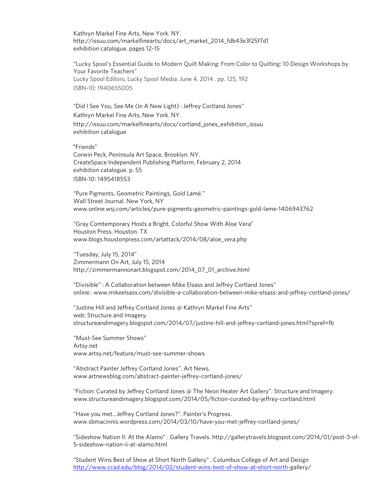Kathryn Markel Fine Arts, New York. NY. http://issuu.com/markelfinearts/docs/art\_market\_2014\_fdb43e3f25f7d1 exhibition catalogue. pages 12-15

"Lucky Spool's Essential Guide to Modern Quilt Making: From Color to Quilting: 10 Design Workshops by Your Favorite Teachers" Lucky Spool Editors, Lucky Spool Media. June 4, 2014 . pp. 125, 192 ISBN-10: 1940655005

"Did I See You, See Me (In A New Light) : Jeffrey Cortland Jones" Kathryn Markel Fine Arts, New York. NY. http://issuu.com/markelfinearts/docs/cortland\_jones\_exhibition\_issuu exhibition catalogue

"Friends"

Corwin Peck, Peninsula Art Space, Brooklyn. NY. CreateSpace Independent Publishing Platform, February 2, 2014 exhibition catalogue. p. 55 ISBN-10: 1495418553

"Pure Pigments, Geometric Paintings, Gold Lamé." Wall Street Journal. New York, NY www.online.wsj.com/articles/pure-pigments-geometric-paintings-gold-lame-1406943762

"Gray Comtemporary Hosts a Bright, Colorful Show With Aloe Vera" Houston Press. Houston. TX www.blogs.houstonpress.com/artattack/2014/08/aloe\_vera.php

"Tuesday, July 15, 2014" Zimmermann On Art, July 15, 2014 http://zimmermannonart.blogspot.com/2014\_07\_01\_archive.html

"Divisible" : A Collaboration between Mike Elsass and Jeffrey Cortland Jones" online:. www.mikeelsass.com/divisible-a-collaboration-between-mike-elsass-and-jeffrey-cortland-jones/

"Justine Hill and Jeffrey Cortland Jones @ Kathryn Markel Fine Arts" web: Structure and Imagery. structureandimagery.blogspot.com/2014/07/justine-hill-and-jeffrey-cortland-jones.html?spref=fb

"Must-See Summer Shows" Artsy.net www.artsy.net/feature/must-see-summer-shows

"Abstract Painter Jeffrey Cortland Jones". Art News. www.artnewsblog.com/abstract-painter-jeffrey-cortland-jones/

"Fiction: Curated by Jeffrey Cortland Jones @ The Neon Heater Art Gallery". Structure and Imagery. www.structureandimagery.blogspot.com/2014/05/fiction-curated-by-jeffrey-cortland.html

"Have you met…Jeffrey Cortland Jones?". Painter's Progress. www.sbmacinnis.wordpress.com/2014/03/10/have-you-met-jeffrey-cortland-jones/

"Sideshow Nation II: At the Alamo" . Gallery Travels. http://gallerytravels.blogspot.com/2014/01/post-3-of-5-sideshow-nation-ii-at-alamo.html

"Student Wins Best of Show at Short North Gallery" . Columbus College of Art and Design http://www.ccad.edu/blog/2014/02/student-wins-best-of-show-at-short-north-gallery/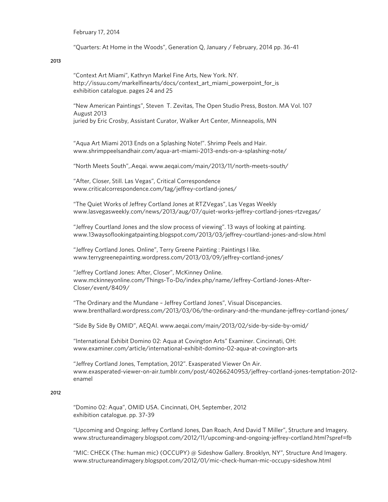February 17, 2014

"Quarters: At Home in the Woods", Generation Q, January / February, 2014 pp. 36-41

2013

"Context Art Miami", Kathryn Markel Fine Arts, New York. NY. http://issuu.com/markelfinearts/docs/context\_art\_miami\_powerpoint\_for\_is exhibition catalogue. pages 24 and 25

"New American Paintings", Steven T. Zevitas, The Open Studio Press, Boston. MA Vol. 107 August 2013 juried by Eric Crosby, Assistant Curator, Walker Art Center, Minneapolis, MN

"Aqua Art Miami 2013 Ends on a Splashing Note!". Shrimp Peels and Hair. www.shrimppeelsandhair.com/aqua-art-miami-2013-ends-on-a-splashing-note/

"North Meets South",.Aeqai. www.aeqai.com/main/2013/11/north-meets-south/

"After, Closer, Still. Las Vegas", Critical Correspondence www.criticalcorrespondence.com/tag/jeffrey-cortland-jones/

"The Quiet Works of Jeffrey Cortland Jones at RTZVegas", Las Vegas Weekly www.lasvegasweekly.com/news/2013/aug/07/quiet-works-jeffrey-cortland-jones-rtzvegas/

"Jeffrey Courtland Jones and the slow process of viewing". 13 ways of looking at painting. www.13waysoflookingatpainting.blogspot.com/2013/03/jeffrey-courtland-jones-and-slow.html

"Jeffrey Cortland Jones. Online", Terry Greene Painting : Paintings I like. www.terrygreenepainting.wordpress.com/2013/03/09/jeffrey-cortland-jones/

"Jeffrey Cortland Jones: After, Closer", McKinney Online. www.mckinneyonline.com/Things-To-Do/index.php/name/Jeffrey-Cortland-Jones-After-Closer/event/8409/

"The Ordinary and the Mundane – Jeffrey Cortland Jones", Visual Discepancies. www.brenthallard.wordpress.com/2013/03/06/the-ordinary-and-the-mundane-jeffrey-cortland-jones/

"Side By Side By OMID", AEQAI. www.aeqai.com/main/2013/02/side-by-side-by-omid/

"International Exhibit Domino 02: Aqua at Covington Arts" Examiner. Cincinnati, OH: www.examiner.com/article/international-exhibit-domino-02-aqua-at-covington-arts

"Jeffrey Cortland Jones, Temptation, 2012". Exasperated Viewer On Air. www.exasperated-viewer-on-air.tumblr.com/post/40266240953/jeffrey-cortland-jones-temptation-2012 enamel

#### 2012

"Domino 02: Aqua", OMID USA. Cincinnati, OH, September, 2012 exhibition catalogue. pp. 37-39

"Upcoming and Ongoing: Jeffrey Cortland Jones, Dan Roach, And David T Miller", Structure and Imagery. www.structureandimagery.blogspot.com/2012/11/upcoming-and-ongoing-jeffrey-cortland.html?spref=fb

"MIC: CHECK (The: human mic) (OCCUPY) @ Sideshow Gallery. Brooklyn, NY", Structure And Imagery. www.structureandimagery.blogspot.com/2012/01/mic-check-human-mic-occupy-sideshow.html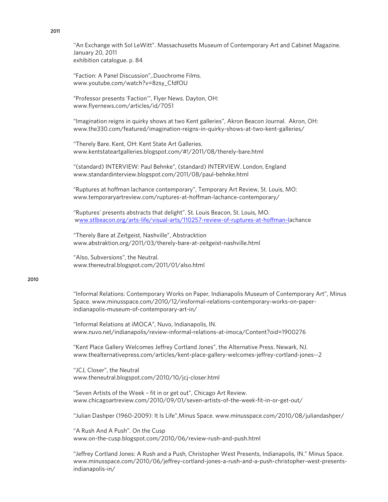"An Exchange with Sol LeWitt". Massachusetts Museum of Contemporary Art and Cabinet Magazine. January 20, 2011 exhibition catalogue. p. 84

"Faction: A Panel Discussion",.Duochrome Films. www.youtube.com/watch?v=8zsy\_CfdfOU

"Professor presents 'Faction'", Flyer News. Dayton, OH: www.flyernews.com/articles/id/7051

"Imagination reigns in quirky shows at two Kent galleries", Akron Beacon Journal. Akron, OH: www.the330.com/featured/imagination-reigns-in-quirky-shows-at-two-kent-galleries/

"Therely Bare. Kent, OH: Kent State Art Galleries. www.kentstateartgalleries.blogspot.com/#!/2011/08/therely-bare.html

"(standard) INTERVIEW: Paul Behnke", (standard) INTERVIEW. London, England www.standardinterview.blogspot.com/2011/08/paul-behnke.html

"Ruptures at hoffman lachance contemporary", Temporary Art Review, St. Louis, MO: www.temporaryartreview.com/ruptures-at-hoffman-lachance-contemporary/

"Ruptures' presents abstracts that delight". St. Louis Beacon, St. Louis, MO. www.stlbeacon.org/arts-life/visual-arts/110257-review-of-ruptures-at-hoffman-lachance

"Therely Bare at Zeitgeist, Nashville", Abstracktion www.abstraktion.org/2011/03/therely-bare-at-zeitgeist-nashville.html

"Also, Subversions", the Neutral. www.theneutral.blogspot.com/2011/01/also.html

#### 2010

"Informal Relations: Contemporary Works on Paper, Indianapolis Museum of Contemporary Art", Minus Space. www.minusspace.com/2010/12/insformal-relations-contemporary-works-on-paperindianapolis-museum-of-contemporary-art-in/

"Informal Relations at iMOCA", Nuvo, Indianapolis, IN. www.nuvo.net/indianapolis/review-informal-relations-at-imoca/Content?oid=1900276

"Kent Place Gallery Welcomes Jeffrey Cortland Jones", the Alternative Press. Newark, NJ. www.thealternativepress.com/articles/kent-place-gallery-welcomes-jeffrey-cortland-jones--2

"JCJ, Closer", the Neutral www.theneutral.blogspot.com/2010/10/jcj-closer.html

"Seven Artists of the Week – fit in or get out", Chicago Art Review. www.chicagoartreview.com/2010/09/01/seven-artists-of-the-week-fit-in-or-get-out/

"Julian Dashper (1960-2009): It Is Life",Minus Space. www.minusspace.com/2010/08/juliandashper/

"A Rush And A Push". On the Cusp www.on-the-cusp.blogspot.com/2010/06/review-rush-and-push.html

"Jeffrey Cortland Jones: A Rush and a Push, Christopher West Presents, Indianapolis, IN." Minus Space. www.minusspace.com/2010/06/jeffrey-cortland-jones-a-rush-and-a-push-christopher-west-presentsindianapolis-in/

## 2011